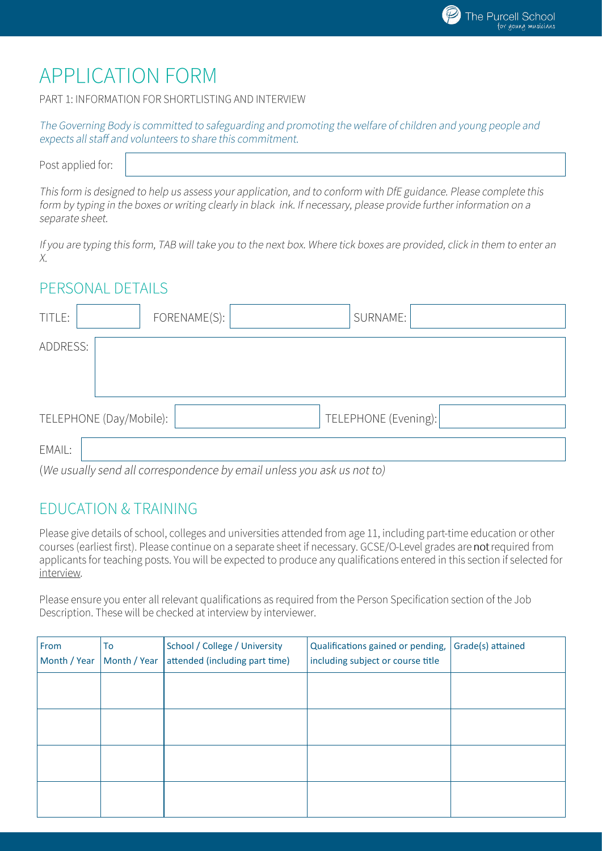# **APPLICATION FORM**

PART 1: INFORMATION FOR SHORTLISTING AND INTERVIEW

| The Governing Body is committed to safeguarding and promoting the welfare of children and young people and |  |
|------------------------------------------------------------------------------------------------------------|--|
| expects all staff and volunteers to share this commitment.                                                 |  |

Post applied for:

This form is designed to help us assess your application, and to conform with DfE guidance. Please complete this form by typing in the boxes or writing clearly in black ink. If necessary, please provide further information on a separate sheet.

If you are typing this form, TAB will take you to the next box. Where tick boxes are provided, click in them to enter an Х.

#### PERSONAL DETAILS

| TITLE:   |                                                                                                                                                                                                                               | FORENAME(S): |  | SURNAME:             |  |
|----------|-------------------------------------------------------------------------------------------------------------------------------------------------------------------------------------------------------------------------------|--------------|--|----------------------|--|
| ADDRESS: |                                                                                                                                                                                                                               |              |  |                      |  |
|          | TELEPHONE (Day/Mobile):                                                                                                                                                                                                       |              |  | TELEPHONE (Evening): |  |
| EMAIL:   | (11/2 year) of the location of the concept of the concept of the base of the base of the second of the second of the second second second second second second second second second second second second second second second |              |  |                      |  |

(We usually send all correspondence by email unless you ask us not to)

## **FDUCATION & TRAINING**

Please give details of school, colleges and universities attended from age 11, including part-time education or other courses (earliest first). Please continue on a separate sheet if necessary. GCSE/O-Level grades are not required from applicants for teaching posts. You will be expected to produce any qualifications entered in this section if selected for interview.

Please ensure you enter all relevant qualifications as required from the Person Specification section of the Job Description. These will be checked at interview by interviewer.

| From<br>Month / Year | To<br>Month / Year | School / College / University<br>attended (including part time) | Qualifications gained or pending,<br>including subject or course title | Grade(s) attained |
|----------------------|--------------------|-----------------------------------------------------------------|------------------------------------------------------------------------|-------------------|
|                      |                    |                                                                 |                                                                        |                   |
|                      |                    |                                                                 |                                                                        |                   |
|                      |                    |                                                                 |                                                                        |                   |
|                      |                    |                                                                 |                                                                        |                   |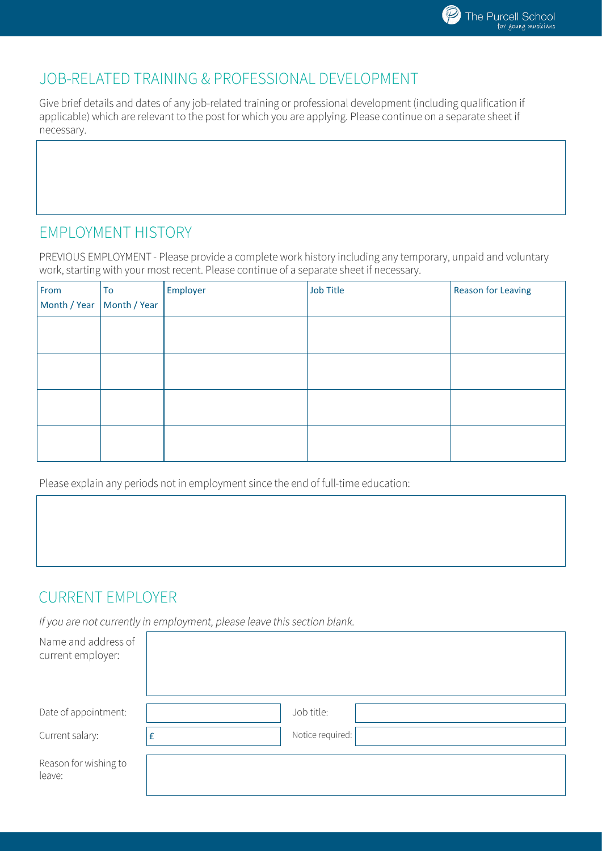

### JOB-RELATED TRAINING & PROFESSIONAL DEVELOPMENT

Give brief details and dates of any job-related training or professional development (including qualification if applicable) which are relevant to the post for which you are applying. Please continue on a separate sheet if necessary.

## **EMPLOYMENT HISTORY**

PREVIOUS EMPLOYMENT - Please provide a complete work history including any temporary, unpaid and voluntary work, starting with your most recent. Please continue of a separate sheet if necessary.

| From | To<br>Month / Year   Month / Year | Employer | <b>Job Title</b> | <b>Reason for Leaving</b> |
|------|-----------------------------------|----------|------------------|---------------------------|
|      |                                   |          |                  |                           |
|      |                                   |          |                  |                           |
|      |                                   |          |                  |                           |
|      |                                   |          |                  |                           |

Please explain any periods not in employment since the end of full-time education:

## **CURRENT EMPLOYER**

If you are not currently in employment, please leave this section blank.

| Name and address of<br>current employer: |   |                  |
|------------------------------------------|---|------------------|
| Date of appointment:                     |   | Job title:       |
| Current salary:                          | £ | Notice required: |
| Reason for wishing to<br>leave:          |   |                  |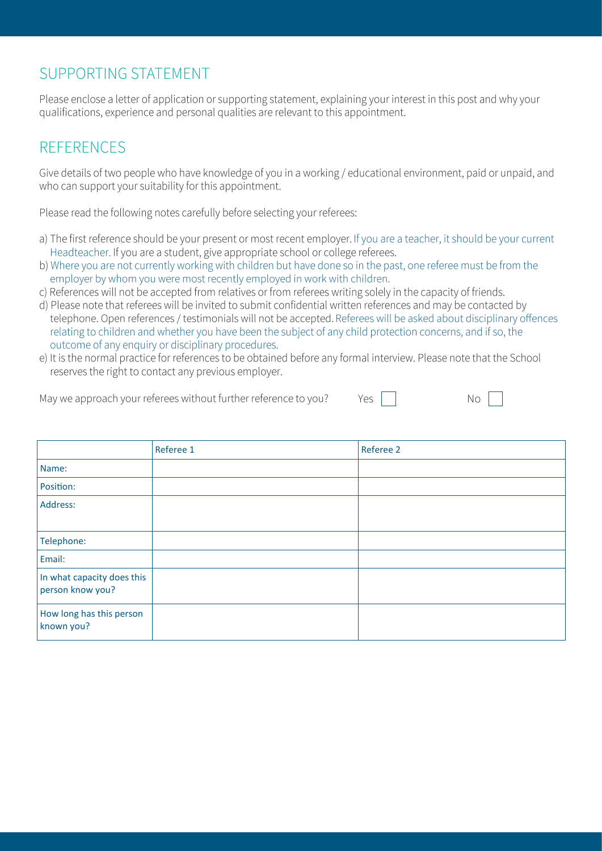## SUPPORTING STATFMENT

Please enclose a letter of application or supporting statement, explaining your interest in this post and why your qualifications, experience and personal qualities are relevant to this appointment.

# **REFERENCES**

Give details of two people who have knowledge of you in a working / educational environment, paid or unpaid, and who can support your suitability for this appointment.

Please read the following notes carefully before selecting your referees:

- a) The first reference should be your present or most recent employer. If you are a teacher, it should be your current Headteacher. If you are a student, give appropriate school or college referees.
- b) Where you are not currently working with children but have done so in the past, one referee must be from the employer by whom you were most recently employed in work with children.
- c) References will not be accepted from relatives or from referees writing solely in the capacity of friends.
- d) Please note that referees will be invited to submit confidential written references and may be contacted by telephone. Open references / testimonials will not be accepted. Referees will be asked about disciplinary offences relating to children and whether you have been the subject of any child protection concerns, and if so, the outcome of any enquiry or disciplinary procedures.
- e) It is the normal practice for references to be obtained before any formal interview. Please note that the School reserves the right to contact any previous employer.

| May we approach your referees without further reference to you?<br>Yes. |  | No. |
|-------------------------------------------------------------------------|--|-----|
|-------------------------------------------------------------------------|--|-----|

|                                                | Referee 1 | Referee 2 |
|------------------------------------------------|-----------|-----------|
| Name:                                          |           |           |
| Position:                                      |           |           |
| Address:                                       |           |           |
|                                                |           |           |
| Telephone:                                     |           |           |
| Email:                                         |           |           |
| In what capacity does this<br>person know you? |           |           |
| How long has this person<br>known you?         |           |           |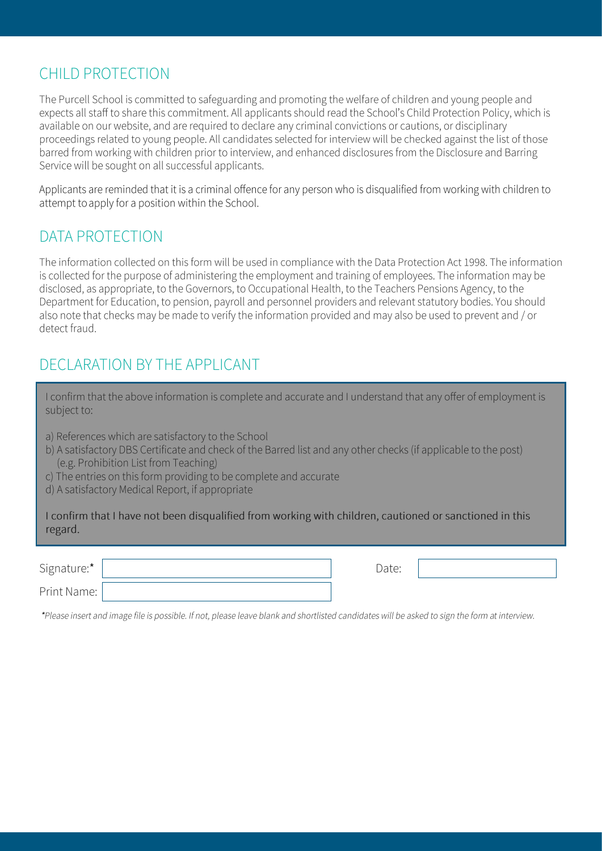## CHILD PROTECTION

The Purcell School is committed to safeguarding and promoting the welfare of children and young people and expects all staff to share this commitment. All applicants should read the School's Child Protection Policy, which is available on our website, and are required to declare any criminal convictions or cautions, or disciplinary proceedings related to young people. All candidates selected for interview will be checked against the list of those barred from working with children prior to interview, and enhanced disclosures from the Disclosure and Barring Service will be sought on all successful applicants.

Applicants are reminded that it is a criminal offence for any person who is disqualified from working with children to attempt to apply for a position within the School.

### DATA PROTECTION

The information collected on this form will be used in compliance with the Data Protection Act 1998. The information is collected for the purpose of administering the employment and training of employees. The information may be disclosed, as appropriate, to the Governors, to Occupational Health, to the Teachers Pensions Agency, to the Department for Education, to pension, payroll and personnel providers and relevant statutory bodies. You should also note that checks may be made to verify the information provided and may also be used to prevent and / or detect fraud

## DECLARATION BY THE APPLICANT

| I confirm that the above information is complete and accurate and I understand that any offer of employment is |  |
|----------------------------------------------------------------------------------------------------------------|--|
| subject to:                                                                                                    |  |

- a) References which are satisfactory to the School
- b) A satisfactory DBS Certificate and check of the Barred list and any other checks (if applicable to the post) (e.g. Prohibition List from Teaching)
- c) The entries on this form providing to be complete and accurate
- d) A satisfactory Medical Report, if appropriate

I confirm that I have not been disqualified from working with children, cautioned or sanctioned in this regard.

Signature:\*

Print Name:

Date:

\*Please insert and image file is possible. If not, please leave blank and shortlisted candidates will be asked to sign the form at interview.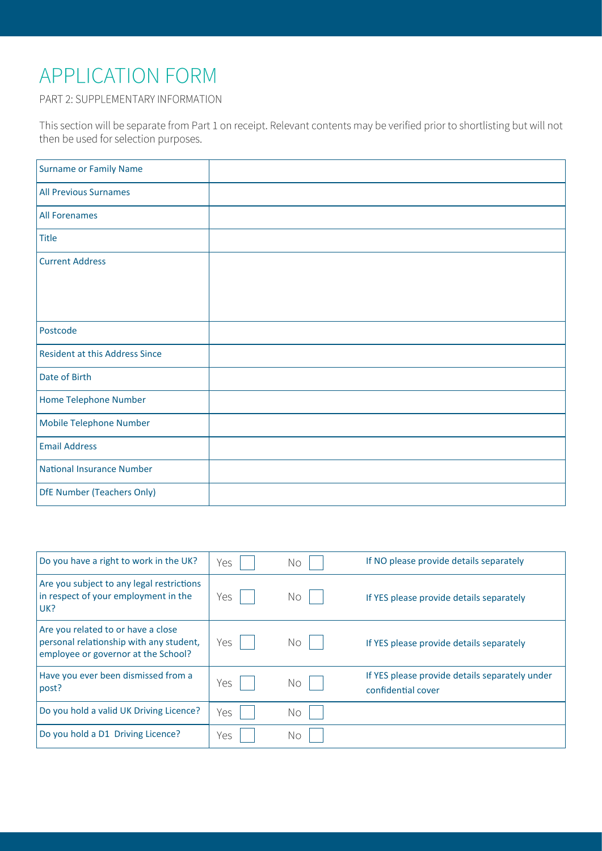# APPLICATION FORM

PART 2: SUPPLEMENTARY INFORMATION

This section will be separate from Part 1 on receipt. Relevant contents may be verified prior to shortlisting but will not then be used for selection purposes.

| <b>Surname or Family Name</b>         |  |
|---------------------------------------|--|
| <b>All Previous Surnames</b>          |  |
| <b>All Forenames</b>                  |  |
| <b>Title</b>                          |  |
| <b>Current Address</b>                |  |
|                                       |  |
|                                       |  |
| Postcode                              |  |
| <b>Resident at this Address Since</b> |  |
| Date of Birth                         |  |
| Home Telephone Number                 |  |
| Mobile Telephone Number               |  |
| <b>Email Address</b>                  |  |
| <b>National Insurance Number</b>      |  |
| <b>DfE Number (Teachers Only)</b>     |  |

| Do you have a right to work in the UK?                                                                               | Yes | Νo | If NO please provide details separately                              |
|----------------------------------------------------------------------------------------------------------------------|-----|----|----------------------------------------------------------------------|
| Are you subject to any legal restrictions<br>in respect of your employment in the<br>UK?                             | Yes | Νo | If YES please provide details separately                             |
| Are you related to or have a close<br>personal relationship with any student,<br>employee or governor at the School? | Yes | Νo | If YES please provide details separately                             |
| Have you ever been dismissed from a<br>post?                                                                         | Yes | Νo | If YES please provide details separately under<br>confidential cover |
| Do you hold a valid UK Driving Licence?                                                                              | Yes | Νo |                                                                      |
| Do you hold a D1 Driving Licence?                                                                                    | Yes | Νo |                                                                      |